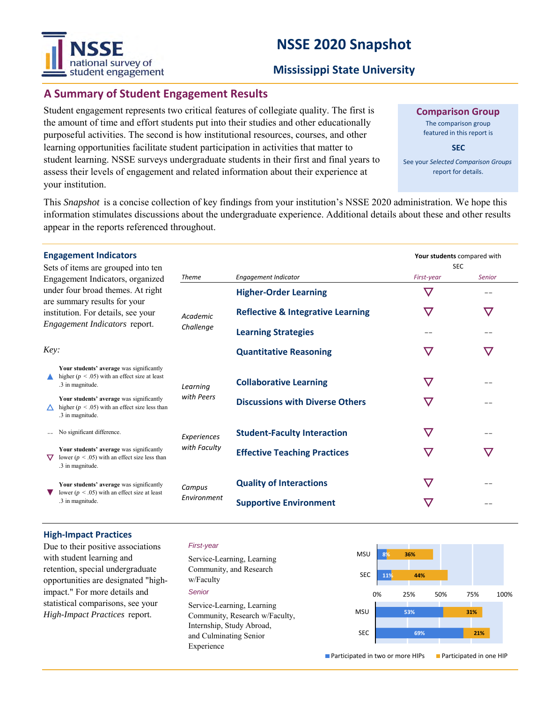# **NSSE 2020 Snapshot**



## **Mississippi State University**

# **A Summary of Student Engagement Results**

Student engagement represents two critical features of collegiate quality. The first is the amount of time and effort students put into their studies and other educationally purposeful activities. The second is how institutional resources, courses, and other learning opportunities facilitate student participation in activities that matter to student learning. NSSE surveys undergraduate students in their first and final years to assess their levels of engagement and related information about their experience at your institution.

**Comparison Group**

The comparison group featured in this report is

**SEC**

See your *Selected Comparison Groups*  report for details.

**Your students** compared with

SEC

This *Snapshot* is a concise collection of key findings from your institution's NSSE 2020 administration. We hope this information stimulates discussions about the undergraduate experience. Additional details about these and other results appear in the reports referenced throughout.

| Sets of items are grouped into ten |
|------------------------------------|
| Engagement Indicators, organized   |
| under four broad themes. At right  |
| are summary results for your       |
| institution. For details, see your |
| Engagement Indicators report.      |

| $\frac{1}{2}$ . $\frac{1}{2}$ are grouped the ten                   |                                                                                                                    |                             |                                              |               |               |
|---------------------------------------------------------------------|--------------------------------------------------------------------------------------------------------------------|-----------------------------|----------------------------------------------|---------------|---------------|
| Engagement Indicators, organized                                    |                                                                                                                    | Theme                       | <b>Engagement Indicator</b>                  | First-year    | <b>Senior</b> |
| under four broad themes. At right<br>are summary results for your   |                                                                                                                    | Academic<br>Challenge       | <b>Higher-Order Learning</b>                 | $\bm{\nabla}$ |               |
| institution. For details, see your<br>Engagement Indicators report. |                                                                                                                    |                             | <b>Reflective &amp; Integrative Learning</b> | $\bm{\nabla}$ | $\bm{\nabla}$ |
|                                                                     |                                                                                                                    |                             | <b>Learning Strategies</b>                   |               |               |
| Key:                                                                |                                                                                                                    |                             | <b>Quantitative Reasoning</b>                | $\bm{\nabla}$ | $\bm{\nabla}$ |
|                                                                     | Your students' average was significantly<br>higher ( $p < .05$ ) with an effect size at least<br>.3 in magnitude.  | Learning                    | <b>Collaborative Learning</b>                | $\bm{\nabla}$ | --            |
|                                                                     | Your students' average was significantly<br>higher ( $p < .05$ ) with an effect size less than<br>.3 in magnitude. | with Peers                  | <b>Discussions with Diverse Others</b>       |               |               |
|                                                                     | No significant difference.                                                                                         | Experiences<br>with Faculty | <b>Student-Faculty Interaction</b>           | $\bm{\nabla}$ |               |
| ▽                                                                   | Your students' average was significantly<br>lower ( $p < .05$ ) with an effect size less than<br>.3 in magnitude.  |                             | <b>Effective Teaching Practices</b>          | $\bm{\nabla}$ | $\nabla$      |
|                                                                     | Your students' average was significantly<br>lower ( $p < .05$ ) with an effect size at least<br>.3 in magnitude.   | Campus<br>Environment       | <b>Quality of Interactions</b>               | $\bm{\nabla}$ |               |
|                                                                     |                                                                                                                    |                             | <b>Supportive Environment</b>                |               |               |

#### **High-Impact Practices**

Due to their positive associations with student learning and retention, special undergraduate opportunities are designated "highimpact." For more details and statistical comparisons, see your *High-Impact Practices* report.

#### *First-year*

*Senior* Service-Learning, Learning Community, and Research w/Faculty Service-Learning, Learning Community, Research w/Faculty, Internship, Study Abroad, and Culminating Senior Experience



■ Participated in two or more HIPs ■ Participated in one HIP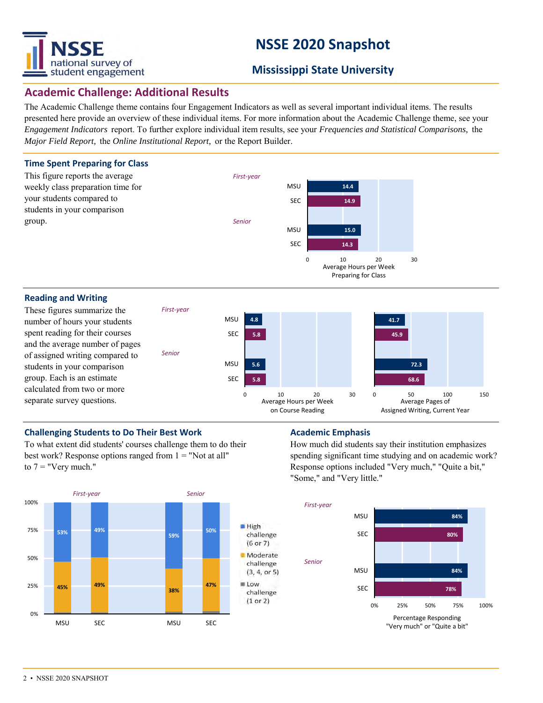

# **NSSE 2020 Snapshot**

# **Mississippi State University**

## **Academic Challenge: Additional Results**

The Academic Challenge theme contains four Engagement Indicators as well as several important individual items. The results presented here provide an overview of these individual items. For more information about the Academic Challenge theme, see your *Engagement Indicators* report. To further explore individual item results, see your *Frequencies and Statistical Comparisons,* the *Major Field Report,* the *Online Institutional Report,* or the Report Builder.



#### **Reading and Writing**

These figures summarize the number of hours your students spent reading for their courses and the average number of pages of assigned writing compared to students in your comparison group. Each is an estimate calculated from two or more separate survey questions.



### **Challenging Students to Do Their Best Work <b>Academic Emphasis Academic Emphasis**

To what extent did students' courses challenge them to do their best work? Response options ranged from  $1 =$  "Not at all" to  $7 =$  "Very much."

*First-year*

*Senior*



How much did students say their institution emphasizes spending significant time studying and on academic work? Response options included "Very much," "Quite a bit," "Some," and "Very little."

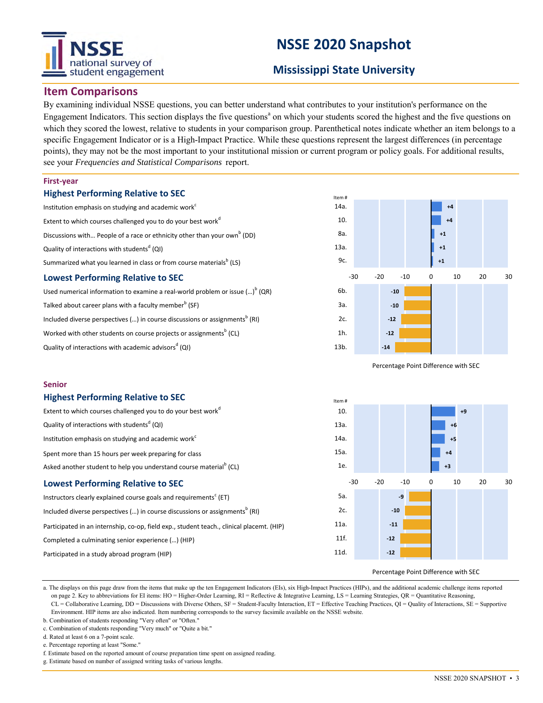# tional survey of student engagement

# **NSSE 2020 Snapshot**

# **Mississippi State University**

# **Item Comparisons**

By examining individual NSSE questions, you can better understand what contributes to your institution's performance on the Engagement Indicators. This section displays the five questions<sup>a</sup> on which your students scored the highest and the five questions on which they scored the lowest, relative to students in your comparison group. Parenthetical notes indicate whether an item belongs to a specific Engagement Indicator or is a High-Impact Practice. While these questions represent the largest differences (in percentage points), they may not be the most important to your institutional mission or current program or policy goals. For additional results, see your *Frequencies and Statistical Comparisons* report.

#### **First-year**

### **Highest Performing Relative to SEC**

Institution emphasis on studying and academic work<sup>c</sup> Extent to which courses challenged you to do your best work<sup>d</sup> Discussions with... People of a race or ethnicity other than your own<sup>b</sup> (DD) Quality of interactions with students<sup>d</sup> (QI) Summarized what you learned in class or from course materials $^{\rm b}$  (LS)

### **Lowest Performing Relative to SEC**

Used numerical information to examine a real-world problem or issue (...)<sup>b</sup> (QR) Talked about career plans with a faculty member $^{\rm b}$  (SF) Included diverse perspectives (...) in course discussions or assignments $^{\rm b}$  (RI) Worked with other students on course projects or assignments $^{\rm b}$  (CL) Quality of interactions with academic advisors<sup>d</sup> (QI)



Percentage Point Difference with SEC



#### **Highest Performing Relative to SEC**

| Extent to which courses challenged you to do your best work <sup>d</sup>                  | 10.  |  |  |  |
|-------------------------------------------------------------------------------------------|------|--|--|--|
| Quality of interactions with students <sup>d</sup> (QI)                                   | 13a. |  |  |  |
| Institution emphasis on studying and academic work <sup>c</sup>                           | 14a. |  |  |  |
| Spent more than 15 hours per week preparing for class                                     | 15a. |  |  |  |
| Asked another student to help you understand course material <sup>b</sup> (CL)            | 1e.  |  |  |  |
| $-30$<br><b>Lowest Performing Relative to SEC</b>                                         |      |  |  |  |
| Instructors clearly explained course goals and requirements <sup>c</sup> (ET)             | 5а.  |  |  |  |
| Included diverse perspectives () in course discussions or assignments <sup>b</sup> (RI)   | 2c.  |  |  |  |
| Participated in an internship, co-op, field exp., student teach., clinical placemt. (HIP) | 11a. |  |  |  |
| Completed a culminating senior experience () (HIP)                                        | 11f. |  |  |  |
| Participated in a study abroad program (HIP)                                              | 11d. |  |  |  |



Percentage Point Difference with SEC

a. The displays on this page draw from the items that make up the ten Engagement Indicators (EIs), six High-Impact Practices (HIPs), and the additional academic challenge items reported on page 2. Key to abbreviations for EI items: HO = Higher-Order Learning, RI = Reflective & Integrative Learning, LS = Learning Strategies, QR = Quantitative Reasoning, CL = Collaborative Learning, DD = Discussions with Diverse Others, SF = Student-Faculty Interaction, ET = Effective Teaching Practices, QI = Quality of Interactions, SE = Supportive Environment. HIP items are also indicated. Item numbering corresponds to the survey facsimile available on the NSSE website.

- b. Combination of students responding "Very often" or "Often."
- c. Combination of students responding "Very much" or "Quite a bit."

d. Rated at least 6 on a 7-point scale.

e. Percentage reporting at least "Some."

```
f. Estimate based on the reported amount of course preparation time spent on assigned reading.
```
g. Estimate based on number of assigned writing tasks of various lengths.